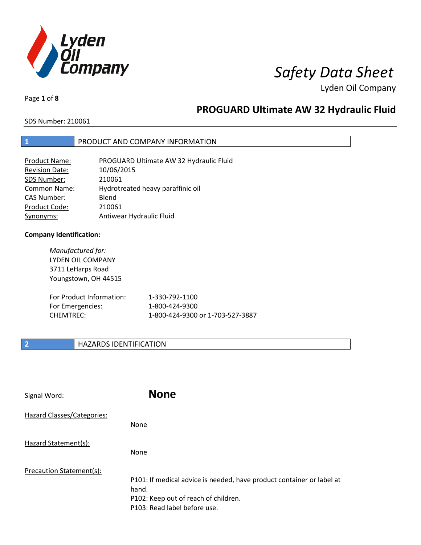

Page **1** of **8**

# **PROGUARD Ultimate AW 32 Hydraulic Fluid**

SDS Number: 210061

## **1** PRODUCT AND COMPANY INFORMATION

| <b>Product Name:</b>  | PROGUARD Ultimate AW 32 Hydraulic Fluid |
|-----------------------|-----------------------------------------|
| <b>Revision Date:</b> | 10/06/2015                              |
| SDS Number:           | 210061                                  |
| Common Name:          | Hydrotreated heavy paraffinic oil       |
| <b>CAS Number:</b>    | Blend                                   |
| Product Code:         | 210061                                  |
| Synonyms:             | Antiwear Hydraulic Fluid                |

### **Company Identification:**

*Manufactured for:* LYDEN OIL COMPANY 3711 LeHarps Road Youngstown, OH 44515

| For Product Information: | 1-330-792-1100                   |
|--------------------------|----------------------------------|
| For Emergencies:         | 1-800-424-9300                   |
| CHEMTREC:                | 1-800-424-9300 or 1-703-527-3887 |

## **2 HAZARDS IDENTIFICATION**

| Signal Word:                      | <b>None</b>                                                                                                                                            |
|-----------------------------------|--------------------------------------------------------------------------------------------------------------------------------------------------------|
| <b>Hazard Classes/Categories:</b> | None                                                                                                                                                   |
| Hazard Statement(s):              | None                                                                                                                                                   |
| Precaution Statement(s):          | P101: If medical advice is needed, have product container or label at<br>hand.<br>P102: Keep out of reach of children.<br>P103: Read label before use. |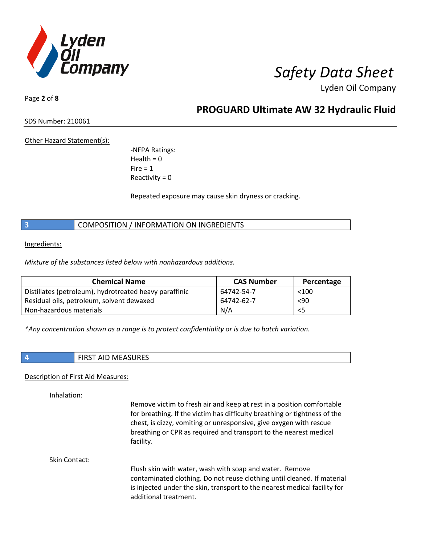

Page **2** of **8**

# **PROGUARD Ultimate AW 32 Hydraulic Fluid**

SDS Number: 210061

Other Hazard Statement(s):

-NFPA Ratings:  $Health = 0$  $Fire = 1$ Reactivity  $= 0$ 

Repeated exposure may cause skin dryness or cracking.

**3** COMPOSITION / INFORMATION ON INGREDIENTS

Ingredients:

*Mixture of the substances listed below with nonhazardous additions.*

| <b>Chemical Name</b>                                   | <b>CAS Number</b> | Percentage |
|--------------------------------------------------------|-------------------|------------|
| Distillates (petroleum), hydrotreated heavy paraffinic | 64742-54-7        | $<$ 100    |
| Residual oils, petroleum, solvent dewaxed              | 64742-62-7        | < 90       |
| Non-hazardous materials                                | N/A               | <5         |

*\*Any concentration shown as a range is to protect confidentiality or is due to batch variation.*

| ۰. |  |
|----|--|
|    |  |
|    |  |
|    |  |
|    |  |

**4** FIRST AID MEASURES

### Description of First Aid Measures:

Inhalation:

Remove victim to fresh air and keep at rest in a position comfortable for breathing. If the victim has difficulty breathing or tightness of the chest, is dizzy, vomiting or unresponsive, give oxygen with rescue breathing or CPR as required and transport to the nearest medical facility.

Skin Contact:

Flush skin with water, wash with soap and water. Remove contaminated clothing. Do not reuse clothing until cleaned. If material is injected under the skin, transport to the nearest medical facility for additional treatment.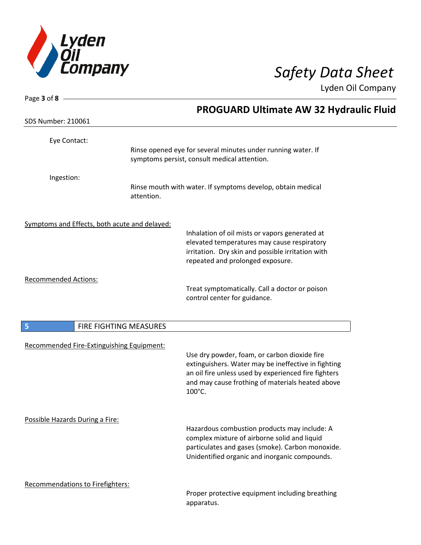

| Page 3 of 8 $-$                               |            |                                                                                                                                                                                                                           |
|-----------------------------------------------|------------|---------------------------------------------------------------------------------------------------------------------------------------------------------------------------------------------------------------------------|
|                                               |            | <b>PROGUARD Ultimate AW 32 Hydraulic Fluid</b>                                                                                                                                                                            |
| <b>SDS Number: 210061</b>                     |            |                                                                                                                                                                                                                           |
| Eye Contact:                                  |            |                                                                                                                                                                                                                           |
|                                               |            | Rinse opened eye for several minutes under running water. If<br>symptoms persist, consult medical attention.                                                                                                              |
| Ingestion:                                    |            |                                                                                                                                                                                                                           |
|                                               | attention. | Rinse mouth with water. If symptoms develop, obtain medical                                                                                                                                                               |
| Symptoms and Effects, both acute and delayed: |            |                                                                                                                                                                                                                           |
|                                               |            | Inhalation of oil mists or vapors generated at<br>elevated temperatures may cause respiratory                                                                                                                             |
|                                               |            | irritation. Dry skin and possible irritation with                                                                                                                                                                         |
|                                               |            | repeated and prolonged exposure.                                                                                                                                                                                          |
| <b>Recommended Actions:</b>                   |            |                                                                                                                                                                                                                           |
|                                               |            | Treat symptomatically. Call a doctor or poison<br>control center for guidance.                                                                                                                                            |
| FIRE FIGHTING MEASURES<br>5                   |            |                                                                                                                                                                                                                           |
| Recommended Fire-Extinguishing Equipment:     |            |                                                                                                                                                                                                                           |
|                                               |            | Use dry powder, foam, or carbon dioxide fire<br>extinguishers. Water may be ineffective in fighting<br>an oil fire unless used by experienced fire fighters<br>and may cause frothing of materials heated above<br>100°C. |
| Possible Hazards During a Fire:               |            | Hazardous combustion products may include: A<br>complex mixture of airborne solid and liquid<br>particulates and gases (smoke). Carbon monoxide.<br>Unidentified organic and inorganic compounds.                         |

### Recommendations to Firefighters:

Proper protective equipment including breathing apparatus.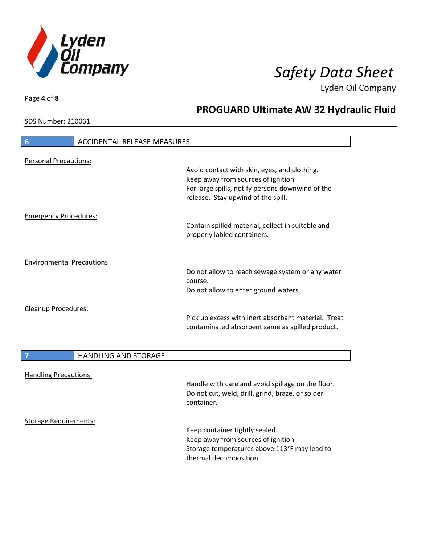

**PROGUARD Ultimate AW 32 Hydraulic Fluid**

Lyden Oil Company

SDS Number: 210061

Page **4** of **8**

# **6** ACCIDENTAL RELEASE MEASURES Personal Precautions: Avoid contact with skin, eyes, and clothing. Keep away from sources of ignition. For large spills, notify persons downwind of the release. Stay upwind of the spill. Emergency Procedures: Contain spilled material, collect in suitable and properly labled containers. Environmental Precautions: Do not allow to reach sewage system or any water course. Do not allow to enter ground waters. Cleanup Procedures: Pick up excess with inert absorbant material. Treat contaminated absorbent same as spilled product. **7 HANDLING AND STORAGE** Handling Precautions: Handle with care and avoid spillage on the floor. Do not cut, weld, drill, grind, braze, or solder container. Storage Requirements: Keep container tightly sealed.

Keep away from sources of ignition. Storage temperatures above 113°F may lead to thermal decomposition.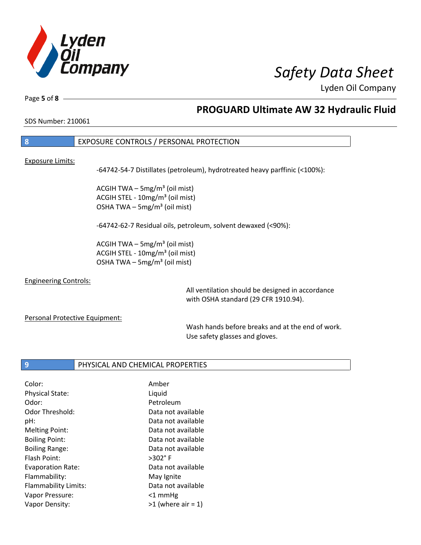

Page **5** of **8**

# **PROGUARD Ultimate AW 32 Hydraulic Fluid**

SDS Number: 210061

## **8** EXPOSURE CONTROLS / PERSONAL PROTECTION

### Exposure Limits:

-64742-54-7 Distillates (petroleum), hydrotreated heavy parffinic (<100%):

ACGIH TWA  $-$  5mg/m<sup>3</sup> (oil mist) ACGIH STEL - 10mg/m<sup>3</sup> (oil mist) OSHA TWA  $-$  5mg/m<sup>3</sup> (oil mist)

-64742-62-7 Residual oils, petroleum, solvent dewaxed (<90%):

ACGIH TWA  $-$  5mg/m<sup>3</sup> (oil mist) ACGIH STEL - 10mg/m<sup>3</sup> (oil mist) OSHA TWA – 5mg/m $3$  (oil mist)

### Engineering Controls:

All ventilation should be designed in accordance with OSHA standard (29 CFR 1910.94).

### Personal Protective Equipment:

Wash hands before breaks and at the end of work. Use safety glasses and gloves.

### **9** PHYSICAL AND CHEMICAL PROPERTIES

| Amber                |
|----------------------|
| Liquid               |
| Petroleum            |
| Data not available   |
| Data not available   |
| Data not available   |
| Data not available   |
| Data not available   |
| $>302^\circ$ F       |
| Data not available   |
| May Ignite           |
| Data not available   |
| $<$ 1 mmHg           |
| $>1$ (where air = 1) |
|                      |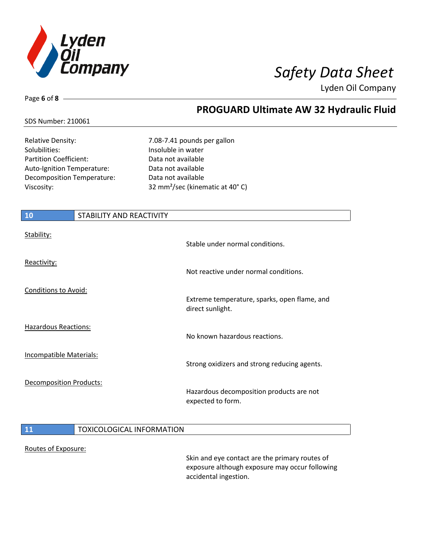

Page **6** of **8**

# **PROGUARD Ultimate AW 32 Hydraulic Fluid**

### SDS Number: 210061

Solubilities: Insoluble in water Partition Coefficient: Data not available Auto-Ignition Temperature: Data not available Decomposition Temperature: Data not available

Relative Density: 7.08-7.41 pounds per gallon Viscosity: 32 mm²/sec (kinematic at 40° C)

| 10                             | STABILITY AND REACTIVITY |                                                                  |
|--------------------------------|--------------------------|------------------------------------------------------------------|
| Stability:                     |                          | Stable under normal conditions.                                  |
| Reactivity:                    |                          | Not reactive under normal conditions.                            |
| <b>Conditions to Avoid:</b>    |                          | Extreme temperature, sparks, open flame, and<br>direct sunlight. |
| <b>Hazardous Reactions:</b>    |                          | No known hazardous reactions.                                    |
| <b>Incompatible Materials:</b> |                          | Strong oxidizers and strong reducing agents.                     |
| <b>Decomposition Products:</b> |                          | Hazardous decomposition products are not<br>expected to form.    |

## **11** TOXICOLOGICAL INFORMATION

### Routes of Exposure:

Skin and eye contact are the primary routes of exposure although exposure may occur following accidental ingestion.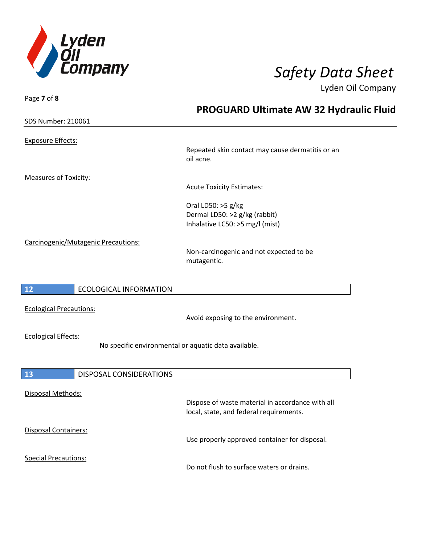

Page **7** of **8**

Lyden Oil Company

|                                                                                    | <b>PROGUARD Ultimate AW 32 Hydraulic Fluid</b>                                              |
|------------------------------------------------------------------------------------|---------------------------------------------------------------------------------------------|
| <b>SDS Number: 210061</b>                                                          |                                                                                             |
| <b>Exposure Effects:</b>                                                           |                                                                                             |
|                                                                                    | Repeated skin contact may cause dermatitis or an<br>oil acne.                               |
| <b>Measures of Toxicity:</b>                                                       |                                                                                             |
|                                                                                    | <b>Acute Toxicity Estimates:</b>                                                            |
|                                                                                    | Oral LD50: >5 g/kg<br>Dermal LD50: >2 g/kg (rabbit)<br>Inhalative LC50: >5 mg/l (mist)      |
| Carcinogenic/Mutagenic Precautions:                                                | Non-carcinogenic and not expected to be<br>mutagentic.                                      |
| 12<br><b>ECOLOGICAL INFORMATION</b>                                                |                                                                                             |
| <b>Ecological Precautions:</b>                                                     | Avoid exposing to the environment.                                                          |
| <b>Ecological Effects:</b><br>No specific environmental or aquatic data available. |                                                                                             |
|                                                                                    |                                                                                             |
| 13<br><b>DISPOSAL CONSIDERATIONS</b>                                               |                                                                                             |
| Disposal Methods:                                                                  | Dispose of waste material in accordance with all<br>local, state, and federal requirements. |
| Disposal Containers:                                                               | Use properly approved container for disposal.                                               |
| <b>Special Precautions:</b>                                                        | Do not flush to surface waters or drains.                                                   |